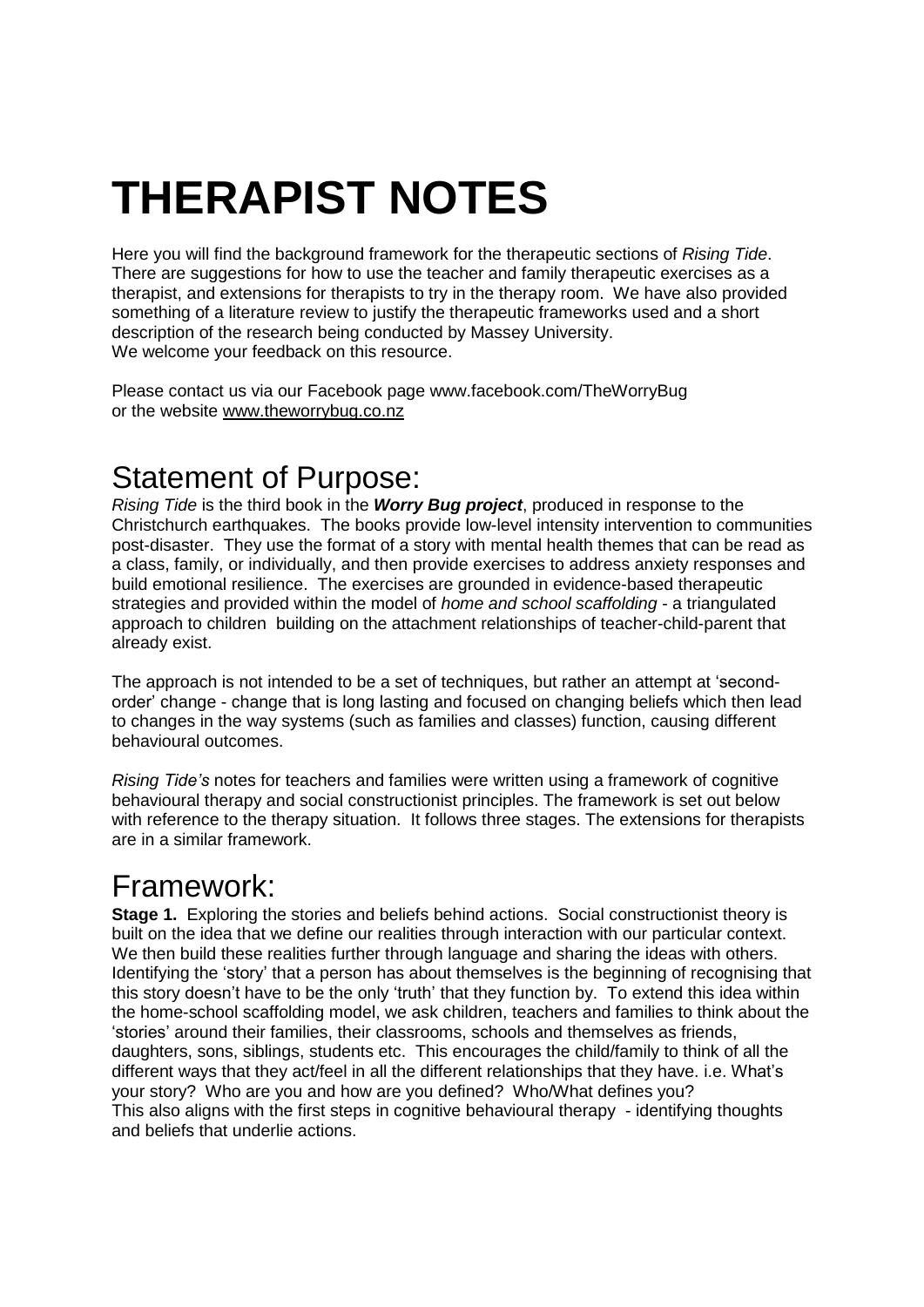# **THERAPIST NOTES**

Here you will find the background framework for the therapeutic sections of *Rising Tide*. There are suggestions for how to use the teacher and family therapeutic exercises as a therapist, and extensions for therapists to try in the therapy room. We have also provided something of a literature review to justify the therapeutic frameworks used and a short description of the research being conducted by Massey University. We welcome your feedback on this resource.

Please contact us via our Facebook page www.facebook.com/TheWorryBug or the website [www.theworrybug.co.nz](http://www.theworrybug.co.nz/)

## Statement of Purpose:

*Rising Tide* is the third book in the *Worry Bug project*, produced in response to the Christchurch earthquakes. The books provide low-level intensity intervention to communities post-disaster. They use the format of a story with mental health themes that can be read as a class, family, or individually, and then provide exercises to address anxiety responses and build emotional resilience. The exercises are grounded in evidence-based therapeutic strategies and provided within the model of *home and school scaffolding* - a triangulated approach to children building on the attachment relationships of teacher-child-parent that already exist.

The approach is not intended to be a set of techniques, but rather an attempt at 'secondorder' change - change that is long lasting and focused on changing beliefs which then lead to changes in the way systems (such as families and classes) function, causing different behavioural outcomes.

*Rising Tide's* notes for teachers and families were written using a framework of cognitive behavioural therapy and social constructionist principles. The framework is set out below with reference to the therapy situation. It follows three stages. The extensions for therapists are in a similar framework.

# Framework:

**Stage 1.** Exploring the stories and beliefs behind actions. Social constructionist theory is built on the idea that we define our realities through interaction with our particular context. We then build these realities further through language and sharing the ideas with others. Identifying the 'story' that a person has about themselves is the beginning of recognising that this story doesn't have to be the only 'truth' that they function by. To extend this idea within the home-school scaffolding model, we ask children, teachers and families to think about the 'stories' around their families, their classrooms, schools and themselves as friends, daughters, sons, siblings, students etc. This encourages the child/family to think of all the different ways that they act/feel in all the different relationships that they have. i.e. What's your story? Who are you and how are you defined? Who/What defines you? This also aligns with the first steps in cognitive behavioural therapy - identifying thoughts and beliefs that underlie actions.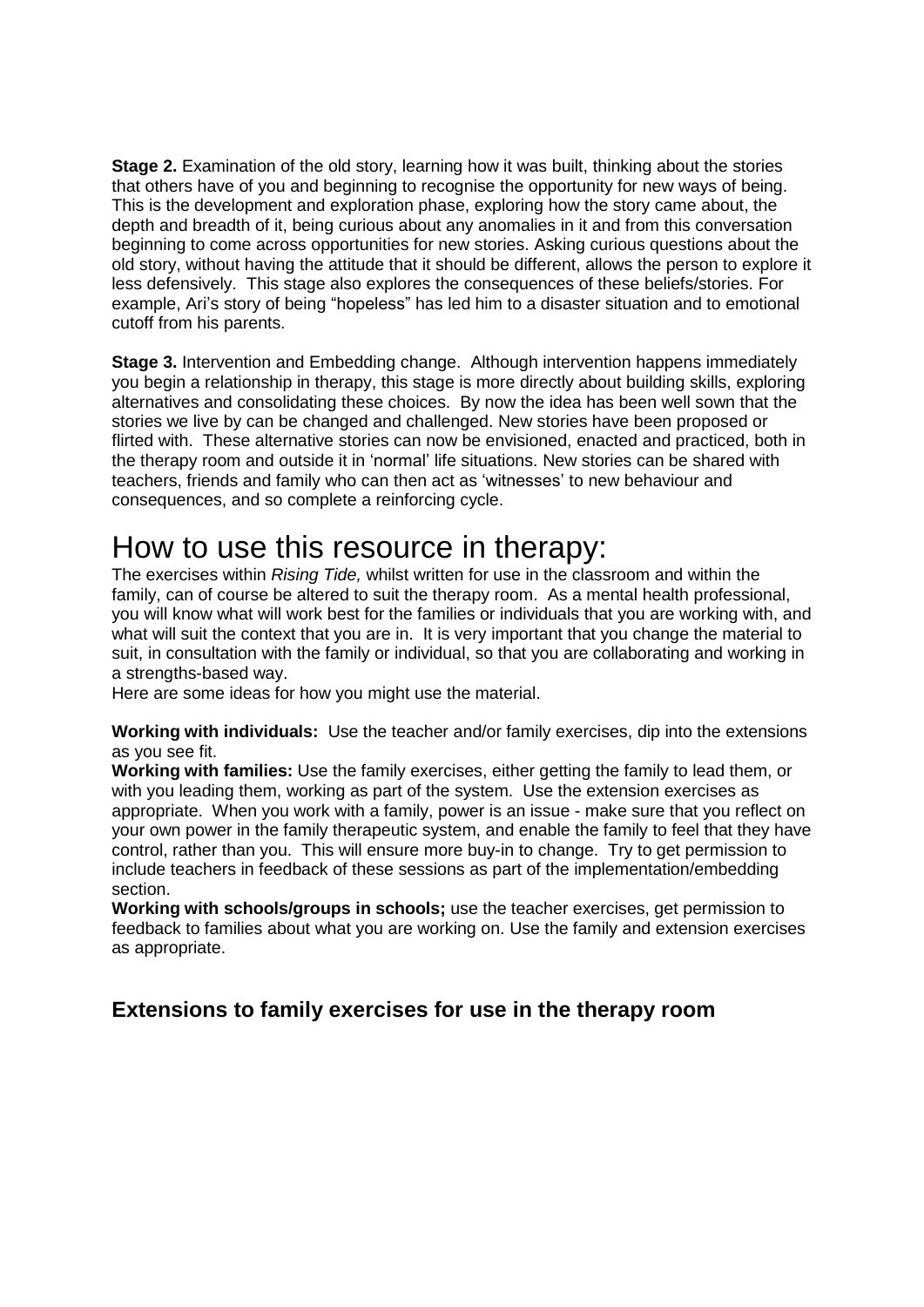**Stage 2.** Examination of the old story, learning how it was built, thinking about the stories that others have of you and beginning to recognise the opportunity for new ways of being. This is the development and exploration phase, exploring how the story came about, the depth and breadth of it, being curious about any anomalies in it and from this conversation beginning to come across opportunities for new stories. Asking curious questions about the old story, without having the attitude that it should be different, allows the person to explore it less defensively. This stage also explores the consequences of these beliefs/stories. For example, Ari's story of being "hopeless" has led him to a disaster situation and to emotional cutoff from his parents.

**Stage 3.** Intervention and Embedding change. Although intervention happens immediately you begin a relationship in therapy, this stage is more directly about building skills, exploring alternatives and consolidating these choices. By now the idea has been well sown that the stories we live by can be changed and challenged. New stories have been proposed or flirted with. These alternative stories can now be envisioned, enacted and practiced, both in the therapy room and outside it in 'normal' life situations. New stories can be shared with teachers, friends and family who can then act as 'witnesses' to new behaviour and consequences, and so complete a reinforcing cycle.

## How to use this resource in therapy:

The exercises within *Rising Tide,* whilst written for use in the classroom and within the family, can of course be altered to suit the therapy room. As a mental health professional, you will know what will work best for the families or individuals that you are working with, and what will suit the context that you are in. It is very important that you change the material to suit, in consultation with the family or individual, so that you are collaborating and working in a strengths-based way.

Here are some ideas for how you might use the material.

**Working with individuals:** Use the teacher and/or family exercises, dip into the extensions as you see fit.

**Working with families:** Use the family exercises, either getting the family to lead them, or with you leading them, working as part of the system. Use the extension exercises as appropriate. When you work with a family, power is an issue - make sure that you reflect on your own power in the family therapeutic system, and enable the family to feel that they have control, rather than you. This will ensure more buy-in to change. Try to get permission to include teachers in feedback of these sessions as part of the implementation/embedding section.

**Working with schools/groups in schools;** use the teacher exercises, get permission to feedback to families about what you are working on. Use the family and extension exercises as appropriate.

#### **Extensions to family exercises for use in the therapy room**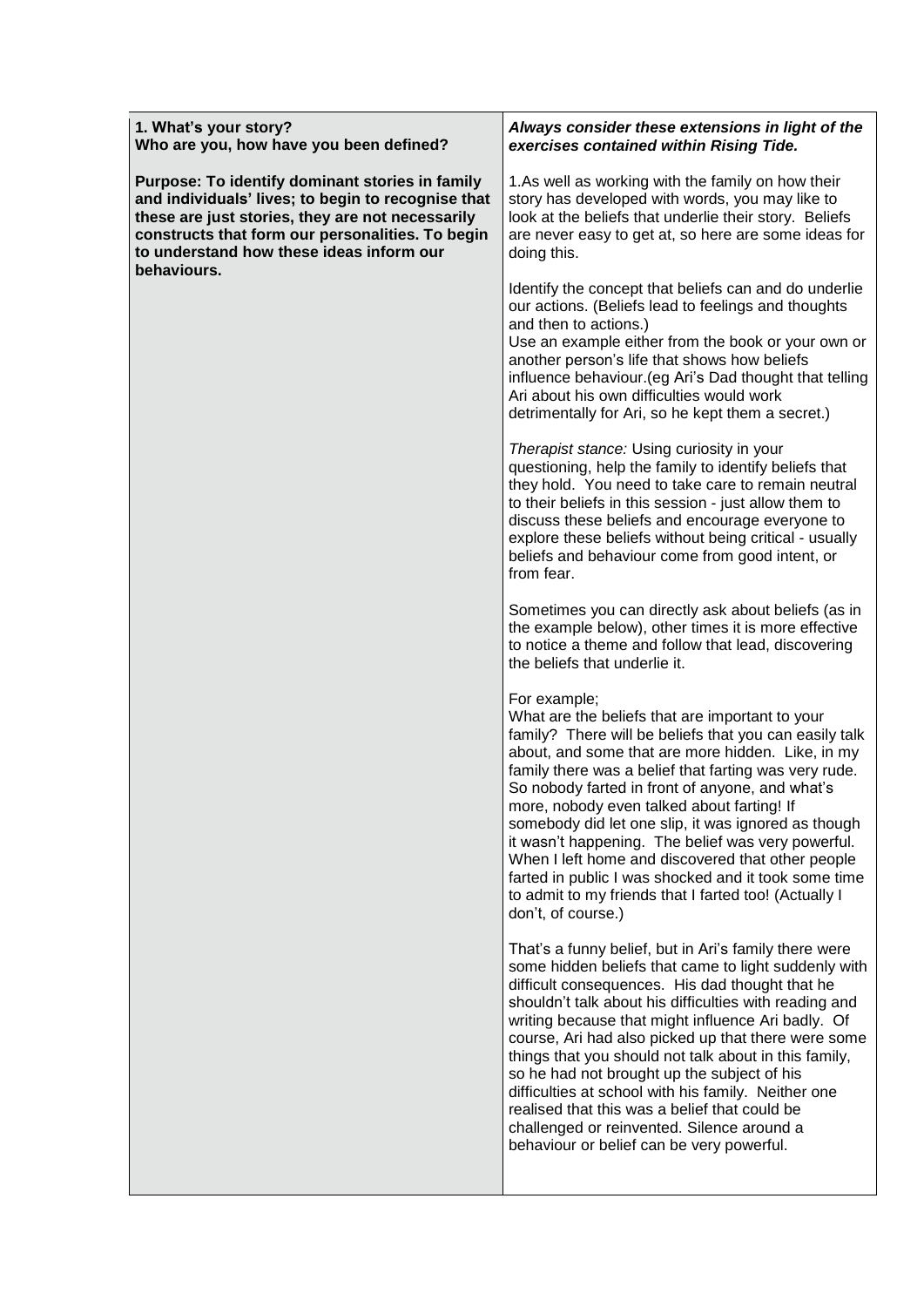| Always consider these extensions in light of the<br>exercises contained within Rising Tide.                                                                                                                                                                                                                                                                                                                                                                                                                                                                                                                                                        |
|----------------------------------------------------------------------------------------------------------------------------------------------------------------------------------------------------------------------------------------------------------------------------------------------------------------------------------------------------------------------------------------------------------------------------------------------------------------------------------------------------------------------------------------------------------------------------------------------------------------------------------------------------|
| 1.As well as working with the family on how their<br>story has developed with words, you may like to<br>look at the beliefs that underlie their story. Beliefs<br>are never easy to get at, so here are some ideas for<br>doing this.                                                                                                                                                                                                                                                                                                                                                                                                              |
| Identify the concept that beliefs can and do underlie<br>our actions. (Beliefs lead to feelings and thoughts<br>and then to actions.)<br>Use an example either from the book or your own or<br>another person's life that shows how beliefs<br>influence behaviour. (eg Ari's Dad thought that telling<br>Ari about his own difficulties would work<br>detrimentally for Ari, so he kept them a secret.)                                                                                                                                                                                                                                           |
| Therapist stance: Using curiosity in your<br>questioning, help the family to identify beliefs that<br>they hold. You need to take care to remain neutral<br>to their beliefs in this session - just allow them to<br>discuss these beliefs and encourage everyone to<br>explore these beliefs without being critical - usually<br>beliefs and behaviour come from good intent, or<br>from fear.                                                                                                                                                                                                                                                    |
| Sometimes you can directly ask about beliefs (as in<br>the example below), other times it is more effective<br>to notice a theme and follow that lead, discovering<br>the beliefs that underlie it.                                                                                                                                                                                                                                                                                                                                                                                                                                                |
| For example;<br>What are the beliefs that are important to your<br>family? There will be beliefs that you can easily talk<br>about, and some that are more hidden. Like, in my<br>family there was a belief that farting was very rude.<br>So nobody farted in front of anyone, and what's<br>more, nobody even talked about farting! If<br>somebody did let one slip, it was ignored as though<br>it wasn't happening. The belief was very powerful.<br>When I left home and discovered that other people<br>farted in public I was shocked and it took some time<br>to admit to my friends that I farted too! (Actually I<br>don't, of course.)  |
| That's a funny belief, but in Ari's family there were<br>some hidden beliefs that came to light suddenly with<br>difficult consequences. His dad thought that he<br>shouldn't talk about his difficulties with reading and<br>writing because that might influence Ari badly. Of<br>course, Ari had also picked up that there were some<br>things that you should not talk about in this family,<br>so he had not brought up the subject of his<br>difficulties at school with his family. Neither one<br>realised that this was a belief that could be<br>challenged or reinvented. Silence around a<br>behaviour or belief can be very powerful. |
|                                                                                                                                                                                                                                                                                                                                                                                                                                                                                                                                                                                                                                                    |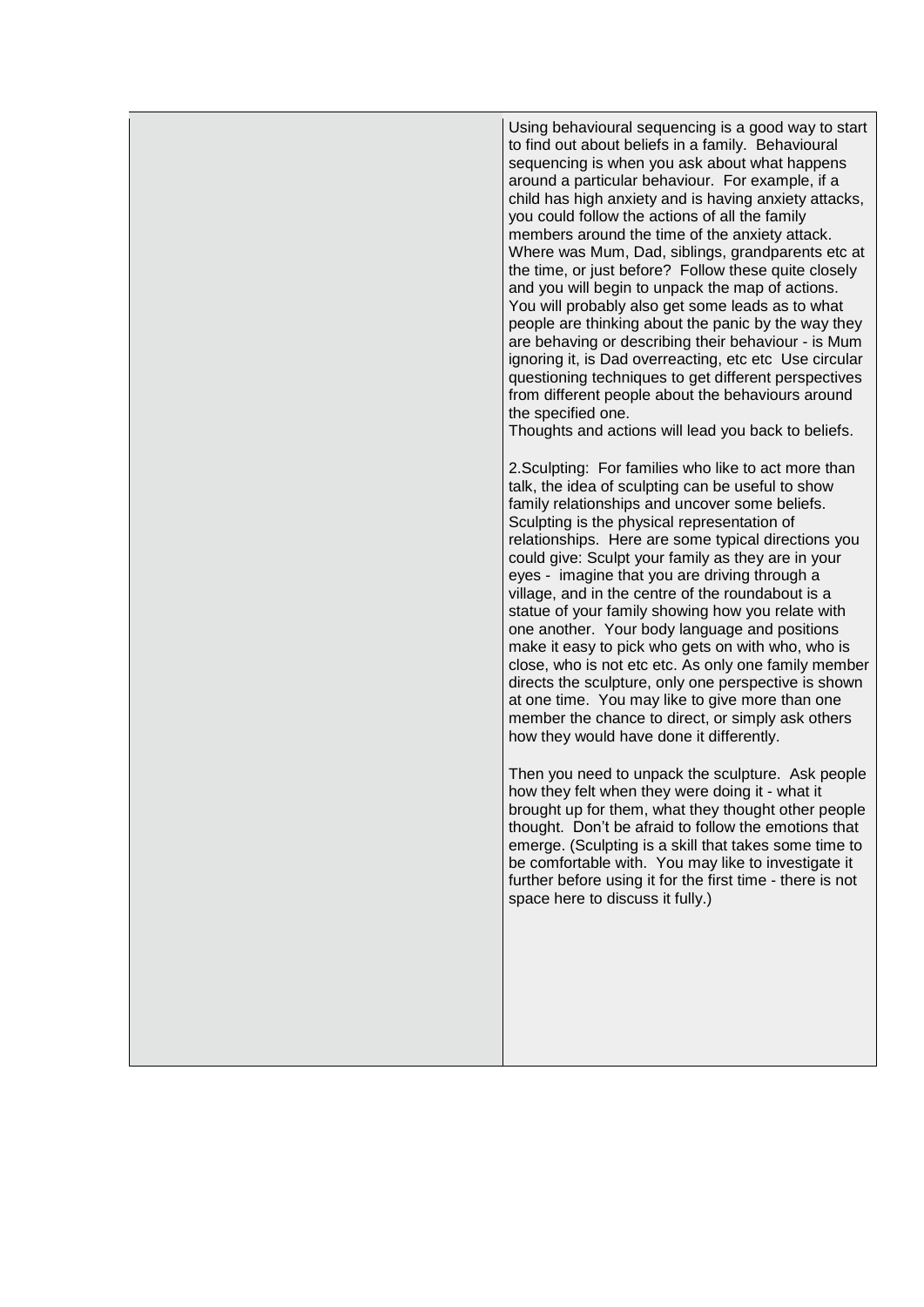Using behavioural sequencing is a good way to start to find out about beliefs in a family. Behavioural sequencing is when you ask about what happens around a particular behaviour. For example, if a child has high anxiety and is having anxiety attacks, you could follow the actions of all the family members around the time of the anxiety attack. Where was Mum, Dad, siblings, grandparents etc at the time, or just before? Follow these quite closely and you will begin to unpack the map of actions. You will probably also get some leads as to what people are thinking about the panic by the way they are behaving or describing their behaviour - is Mum ignoring it, is Dad overreacting, etc etc Use circular questioning techniques to get different perspectives from different people about the behaviours around the specified one. Thoughts and actions will lead you back to beliefs. 2.Sculpting: For families who like to act more than talk, the idea of sculpting can be useful to show family relationships and uncover some beliefs. Sculpting is the physical representation of relationships. Here are some typical directions you could give: Sculpt your family as they are in your eyes - imagine that you are driving through a village, and in the centre of the roundabout is a statue of your family showing how you relate with one another. Your body language and positions make it easy to pick who gets on with who, who is close, who is not etc etc. As only one family member directs the sculpture, only one perspective is shown at one time. You may like to give more than one member the chance to direct, or simply ask others how they would have done it differently. Then you need to unpack the sculpture. Ask people how they felt when they were doing it - what it brought up for them, what they thought other people thought. Don't be afraid to follow the emotions that emerge. (Sculpting is a skill that takes some time to be comfortable with. You may like to investigate it further before using it for the first time - there is not space here to discuss it fully.)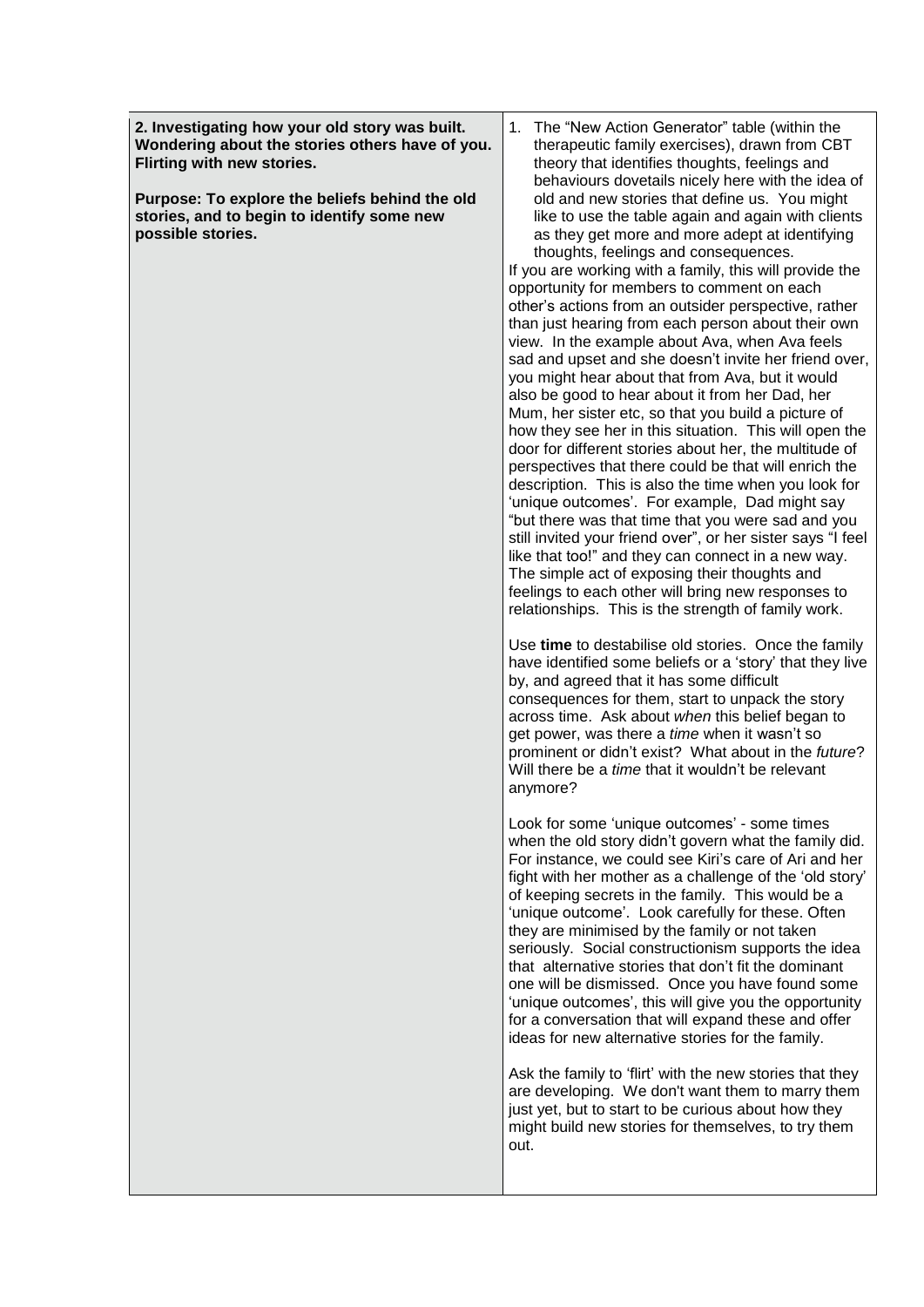**2. Investigating how your old story was built. Wondering about the stories others have of you. Flirting with new stories.**

**Purpose: To explore the beliefs behind the old stories, and to begin to identify some new possible stories.**

1. The "New Action Generator" table (within the therapeutic family exercises), drawn from CBT theory that identifies thoughts, feelings and behaviours dovetails nicely here with the idea of old and new stories that define us. You might like to use the table again and again with clients as they get more and more adept at identifying thoughts, feelings and consequences.

If you are working with a family, this will provide the opportunity for members to comment on each other's actions from an outsider perspective, rather than just hearing from each person about their own view. In the example about Ava, when Ava feels sad and upset and she doesn't invite her friend over, you might hear about that from Ava, but it would also be good to hear about it from her Dad, her Mum, her sister etc, so that you build a picture of how they see her in this situation. This will open the door for different stories about her, the multitude of perspectives that there could be that will enrich the description. This is also the time when you look for 'unique outcomes'. For example, Dad might say "but there was that time that you were sad and you still invited your friend over", or her sister says "I feel like that too!" and they can connect in a new way. The simple act of exposing their thoughts and feelings to each other will bring new responses to relationships. This is the strength of family work.

Use **time** to destabilise old stories. Once the family have identified some beliefs or a 'story' that they live by, and agreed that it has some difficult consequences for them, start to unpack the story across time. Ask about *when* this belief began to get power, was there a *time* when it wasn't so prominent or didn't exist? What about in the *future*? Will there be a *time* that it wouldn't be relevant anymore?

Look for some 'unique outcomes' - some times when the old story didn't govern what the family did. For instance, we could see Kiri's care of Ari and her fight with her mother as a challenge of the 'old story' of keeping secrets in the family. This would be a 'unique outcome'. Look carefully for these. Often they are minimised by the family or not taken seriously. Social constructionism supports the idea that alternative stories that don't fit the dominant one will be dismissed. Once you have found some 'unique outcomes', this will give you the opportunity for a conversation that will expand these and offer ideas for new alternative stories for the family.

Ask the family to 'flirt' with the new stories that they are developing. We don't want them to marry them just yet, but to start to be curious about how they might build new stories for themselves, to try them out.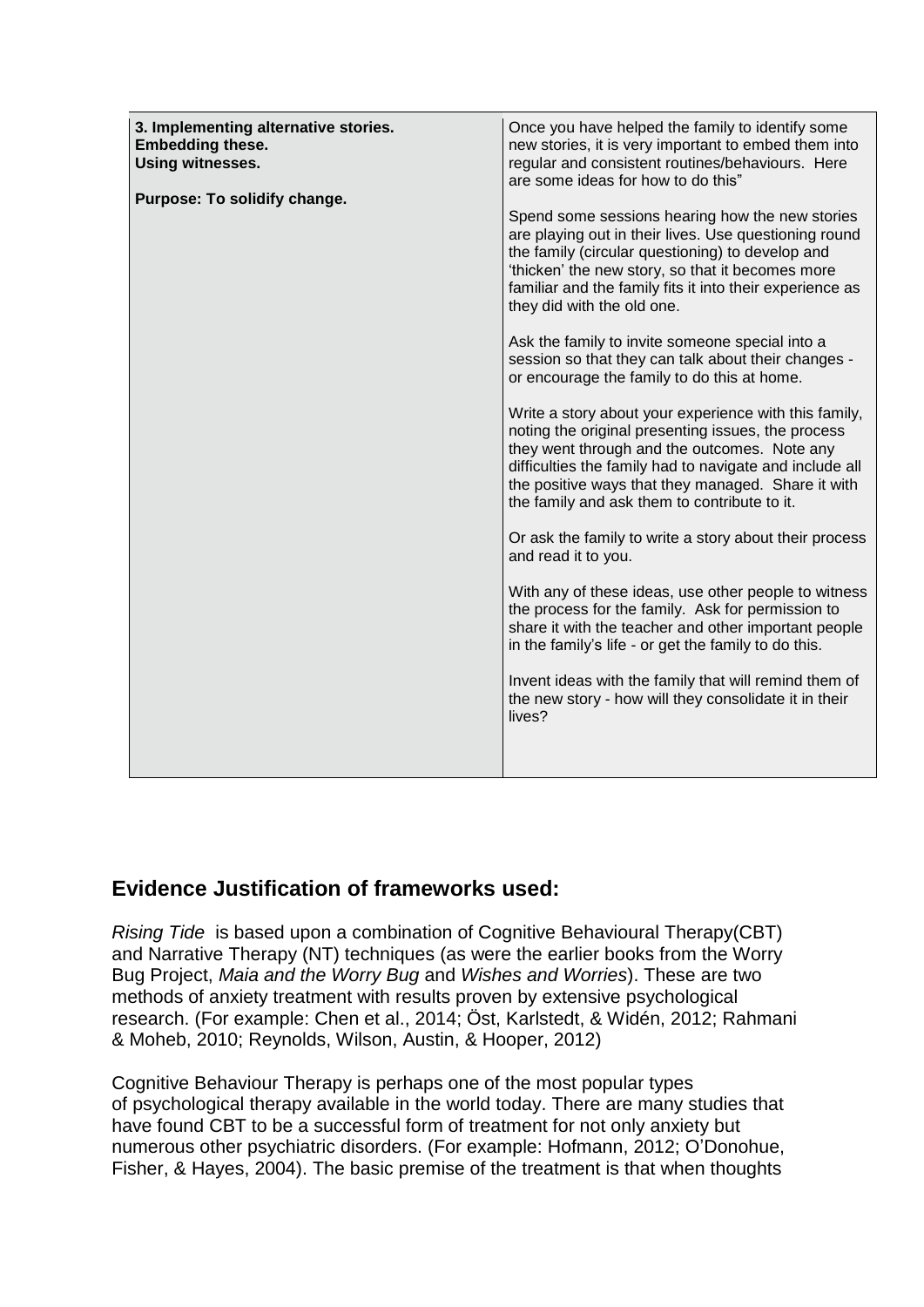| 3. Implementing alternative stories.<br><b>Embedding these.</b><br>Using witnesses.<br>Purpose: To solidify change. | Once you have helped the family to identify some<br>new stories, it is very important to embed them into<br>regular and consistent routines/behaviours. Here<br>are some ideas for how to do this"                                                                                                                           |
|---------------------------------------------------------------------------------------------------------------------|------------------------------------------------------------------------------------------------------------------------------------------------------------------------------------------------------------------------------------------------------------------------------------------------------------------------------|
|                                                                                                                     | Spend some sessions hearing how the new stories<br>are playing out in their lives. Use questioning round<br>the family (circular questioning) to develop and<br>'thicken' the new story, so that it becomes more<br>familiar and the family fits it into their experience as<br>they did with the old one.                   |
|                                                                                                                     | Ask the family to invite someone special into a<br>session so that they can talk about their changes -<br>or encourage the family to do this at home.                                                                                                                                                                        |
|                                                                                                                     | Write a story about your experience with this family,<br>noting the original presenting issues, the process<br>they went through and the outcomes. Note any<br>difficulties the family had to navigate and include all<br>the positive ways that they managed. Share it with<br>the family and ask them to contribute to it. |
|                                                                                                                     | Or ask the family to write a story about their process<br>and read it to you.                                                                                                                                                                                                                                                |
|                                                                                                                     | With any of these ideas, use other people to witness<br>the process for the family. Ask for permission to<br>share it with the teacher and other important people<br>in the family's life - or get the family to do this.                                                                                                    |
|                                                                                                                     | Invent ideas with the family that will remind them of<br>the new story - how will they consolidate it in their<br>lives?                                                                                                                                                                                                     |
|                                                                                                                     |                                                                                                                                                                                                                                                                                                                              |

## **Evidence Justification of frameworks used:**

*Rising Tide* is based upon a combination of Cognitive Behavioural Therapy(CBT) and Narrative Therapy (NT) techniques (as were the earlier books from the Worry Bug Project, *Maia and the Worry Bug* and *Wishes and Worries*). These are two methods of anxiety treatment with results proven by extensive psychological research. (For example: Chen et al., 2014; Öst, Karlstedt, & Widén, 2012; Rahmani & Moheb, 2010; Reynolds, Wilson, Austin, & Hooper, 2012)

Cognitive Behaviour Therapy is perhaps one of the most popular types of psychological therapy available in the world today. There are many studies that have found CBT to be a successful form of treatment for not only anxiety but numerous other psychiatric disorders. (For example: Hofmann, 2012; O'Donohue, Fisher, & Hayes, 2004). The basic premise of the treatment is that when thoughts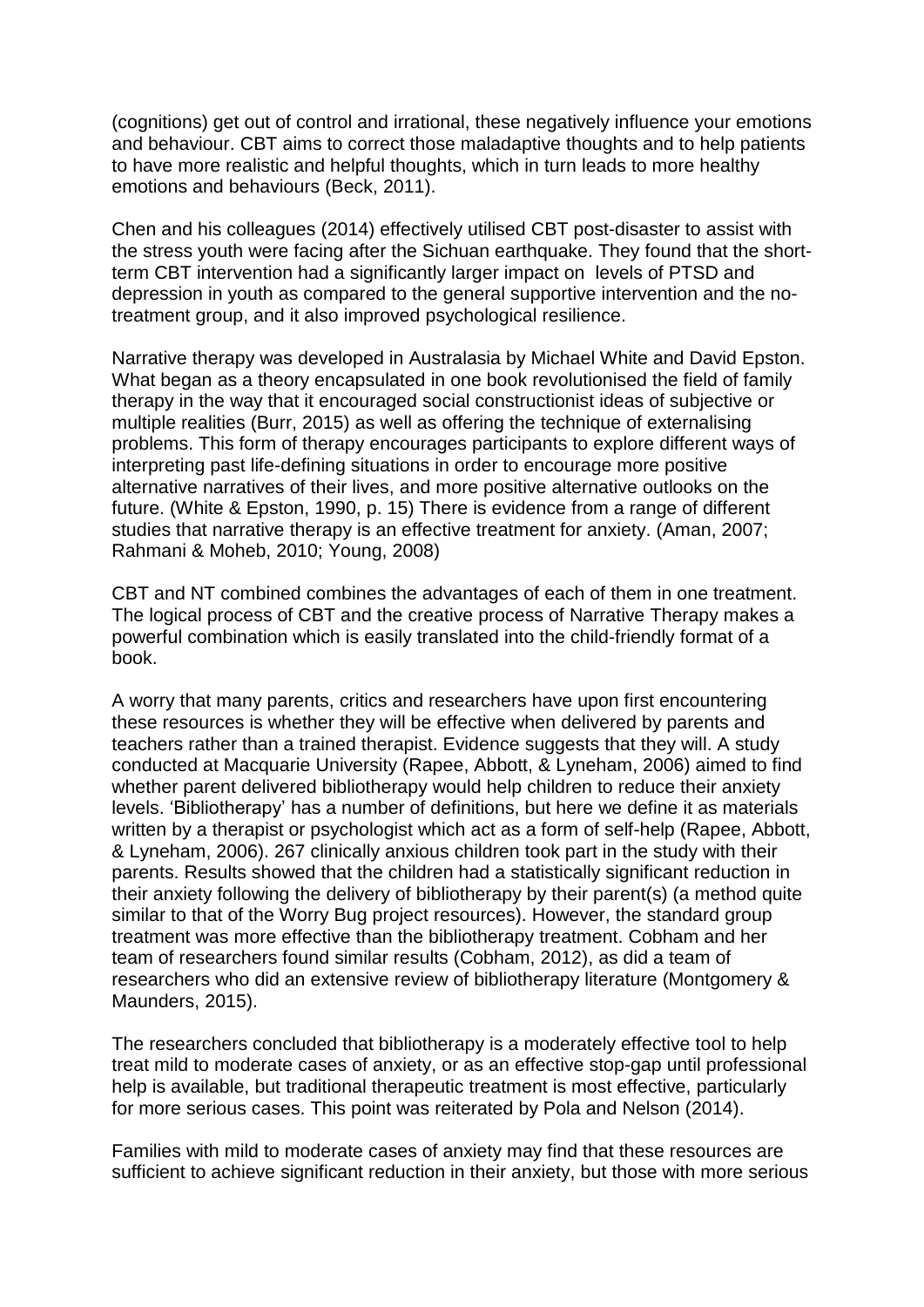(cognitions) get out of control and irrational, these negatively influence your emotions and behaviour. CBT aims to correct those maladaptive thoughts and to help patients to have more realistic and helpful thoughts, which in turn leads to more healthy emotions and behaviours (Beck, 2011).

Chen and his colleagues (2014) effectively utilised CBT post-disaster to assist with the stress youth were facing after the Sichuan earthquake. They found that the shortterm CBT intervention had a significantly larger impact on levels of PTSD and depression in youth as compared to the general supportive intervention and the notreatment group, and it also improved psychological resilience.

Narrative therapy was developed in Australasia by Michael White and David Epston. What began as a theory encapsulated in one book revolutionised the field of family therapy in the way that it encouraged social constructionist ideas of subjective or multiple realities (Burr, 2015) as well as offering the technique of externalising problems. This form of therapy encourages participants to explore different ways of interpreting past life-defining situations in order to encourage more positive alternative narratives of their lives, and more positive alternative outlooks on the future. (White & Epston, 1990, p. 15) There is evidence from a range of different studies that narrative therapy is an effective treatment for anxiety. (Aman, 2007; Rahmani & Moheb, 2010; Young, 2008)

CBT and NT combined combines the advantages of each of them in one treatment. The logical process of CBT and the creative process of Narrative Therapy makes a powerful combination which is easily translated into the child-friendly format of a book.

A worry that many parents, critics and researchers have upon first encountering these resources is whether they will be effective when delivered by parents and teachers rather than a trained therapist. Evidence suggests that they will. A study conducted at Macquarie University (Rapee, Abbott, & Lyneham, 2006) aimed to find whether parent delivered bibliotherapy would help children to reduce their anxiety levels. 'Bibliotherapy' has a number of definitions, but here we define it as materials written by a therapist or psychologist which act as a form of self-help (Rapee, Abbott, & Lyneham, 2006). 267 clinically anxious children took part in the study with their parents. Results showed that the children had a statistically significant reduction in their anxiety following the delivery of bibliotherapy by their parent(s) (a method quite similar to that of the Worry Bug project resources). However, the standard group treatment was more effective than the bibliotherapy treatment. Cobham and her team of researchers found similar results (Cobham, 2012), as did a team of researchers who did an extensive review of bibliotherapy literature (Montgomery & Maunders, 2015).

The researchers concluded that bibliotherapy is a moderately effective tool to help treat mild to moderate cases of anxiety, or as an effective stop-gap until professional help is available, but traditional therapeutic treatment is most effective, particularly for more serious cases. This point was reiterated by Pola and Nelson (2014).

Families with mild to moderate cases of anxiety may find that these resources are sufficient to achieve significant reduction in their anxiety, but those with more serious